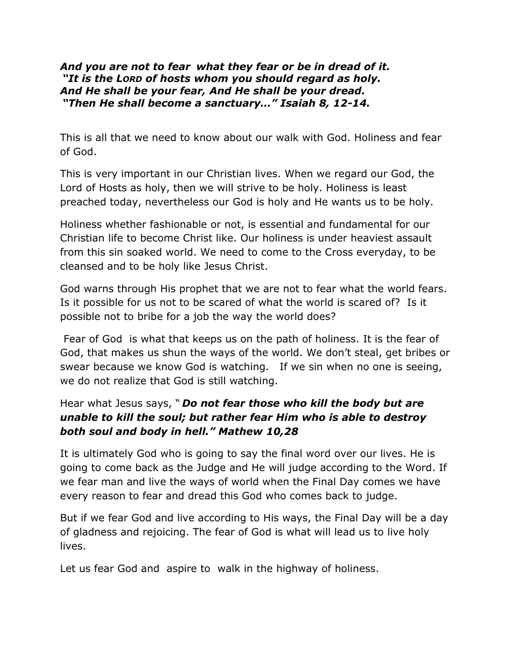## *And you are not to fear what they fear or be in dread of it. "It is the LORD of hosts whom you should regard as holy. And He shall be your fear, And He shall be your dread. "Then He shall become a sanctuary…" Isaiah 8, 12-14.*

This is all that we need to know about our walk with God. Holiness and fear of God.

This is very important in our Christian lives. When we regard our God, the Lord of Hosts as holy, then we will strive to be holy. Holiness is least preached today, nevertheless our God is holy and He wants us to be holy.

Holiness whether fashionable or not, is essential and fundamental for our Christian life to become Christ like. Our holiness is under heaviest assault from this sin soaked world. We need to come to the Cross everyday, to be cleansed and to be holy like Jesus Christ.

God warns through His prophet that we are not to fear what the world fears. Is it possible for us not to be scared of what the world is scared of? Is it possible not to bribe for a job the way the world does?

Fear of God is what that keeps us on the path of holiness. It is the fear of God, that makes us shun the ways of the world. We don't steal, get bribes or swear because we know God is watching. If we sin when no one is seeing, we do not realize that God is still watching.

## Hear what Jesus says, " *Do not fear those who kill the body but are unable to kill the soul; but rather fear Him who is able to destroy both soul and body in hell." Mathew 10,28*

It is ultimately God who is going to say the final word over our lives. He is going to come back as the Judge and He will judge according to the Word. If we fear man and live the ways of world when the Final Day comes we have every reason to fear and dread this God who comes back to judge.

But if we fear God and live according to His ways, the Final Day will be a day of gladness and rejoicing. The fear of God is what will lead us to live holy lives.

Let us fear God and aspire to walk in the highway of holiness.